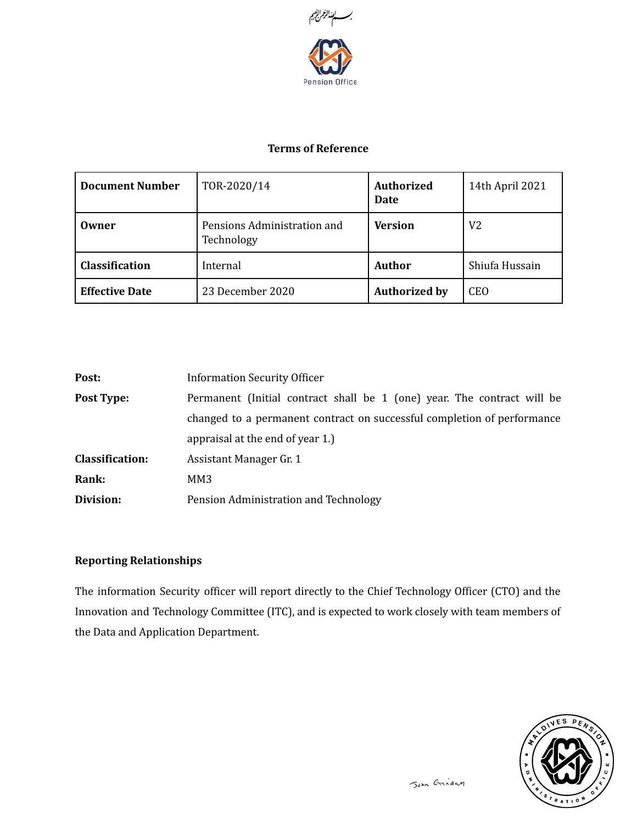

## Terms of Reference

| <b>Document Number</b> | TOR-2020/14                               | <b>Authorized</b><br>Date | 14th April 2021 |
|------------------------|-------------------------------------------|---------------------------|-----------------|
| Owner                  | Pensions Administration and<br>Technology | Version                   | V2              |
| Classification         | Internal                                  | <b>Author</b>             | Shiufa Hussain  |
| <b>Effective Date</b>  | 23 December 2020                          | <b>Authorized by</b>      | <b>CEO</b>      |

| Post:                  | <b>Information Security Officer</b>                                     |
|------------------------|-------------------------------------------------------------------------|
| <b>Post Type:</b>      | Permanent (Initial contract shall be 1 (one) year. The contract will be |
|                        | changed to a permanent contract on successful completion of performance |
|                        | appraisal at the end of year 1.)                                        |
| <b>Classification:</b> | Assistant Manager Gr. 1                                                 |
| Rank:                  | MM3                                                                     |
| Division:              | Pension Administration and Technology                                   |

# Reporting Relationships

The information Security officer will report directly to the Chief Technology Officer (CTO) and the Innovation and Technology Committee (ITC), and is expected to work closely with team members of the Data and Application Department.

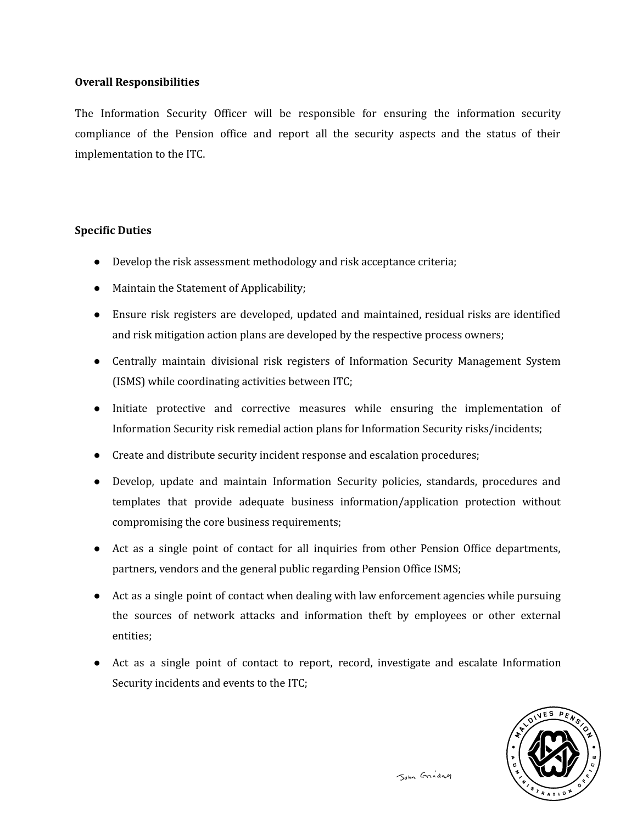## Overall Responsibilities

The Information Security Officer will be responsible for ensuring the information security compliance of the Pension office and report all the security aspects and the status of their implementation to the ITC.

#### Specific Duties

- Develop the risk assessment methodology and risk acceptance criteria;
- Maintain the Statement of Applicability;
- Ensure risk registers are developed, updated and maintained, residual risks are identified and risk mitigation action plans are developed by the respective process owners;
- Centrally maintain divisional risk registers of Information Security Management System (ISMS) while coordinating activities between ITC;
- Initiate protective and corrective measures while ensuring the implementation of Information Security risk remedial action plans for Information Security risks/incidents;
- Create and distribute security incident response and escalation procedures;
- Develop, update and maintain Information Security policies, standards, procedures and templates that provide adequate business information/application protection without compromising the core business requirements;
- Act as a single point of contact for all inquiries from other Pension Office departments, partners, vendors and the general public regarding Pension Office ISMS;
- Act as a single point of contact when dealing with law enforcement agencies while pursuing the sources of network attacks and information theft by employees or other external entities;
- Act as a single point of contact to report, record, investigate and escalate Information Security incidents and events to the ITC;

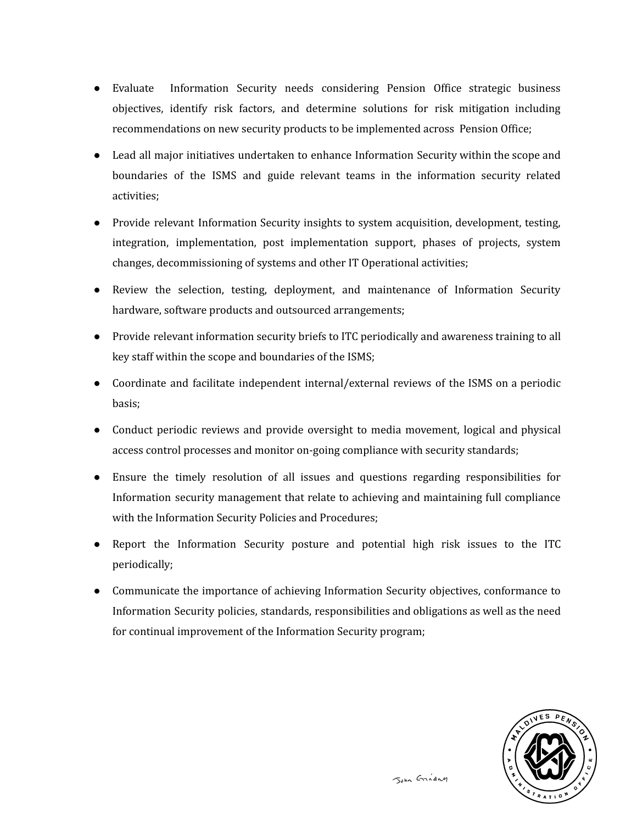- Evaluate Information Security needs considering Pension Office strategic business objectives, identify risk factors, and determine solutions for risk mitigation including recommendations on new security products to be implemented across Pension Office;
- Lead all major initiatives undertaken to enhance Information Security within the scope and boundaries of the ISMS and guide relevant teams in the information security related activities;
- Provide relevant Information Security insights to system acquisition, development, testing, integration, implementation, post implementation support, phases of projects, system changes, decommissioning of systems and other IT Operational activities;
- Review the selection, testing, deployment, and maintenance of Information Security hardware, software products and outsourced arrangements;
- Provide relevant information security briefs to ITC periodically and awareness training to all key staff within the scope and boundaries of the ISMS;
- Coordinate and facilitate independent internal/external reviews of the ISMS on a periodic basis;
- Conduct periodic reviews and provide oversight to media movement, logical and physical access control processes and monitor on-going compliance with security standards;
- Ensure the timely resolution of all issues and questions regarding responsibilities for Information security management that relate to achieving and maintaining full compliance with the Information Security Policies and Procedures;
- Report the Information Security posture and potential high risk issues to the ITC periodically;
- Communicate the importance of achieving Information Security objectives, conformance to Information Security policies, standards, responsibilities and obligations as well as the need for continual improvement of the Information Security program;